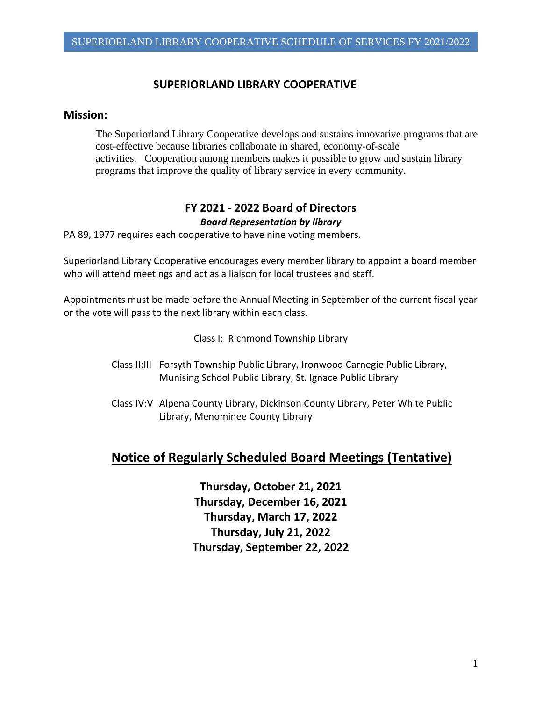### **SUPERIORLAND LIBRARY COOPERATIVE**

#### **Mission:**

The Superiorland Library Cooperative develops and sustains innovative programs that are cost-effective because libraries collaborate in shared, economy-of-scale activities. Cooperation among members makes it possible to grow and sustain library programs that improve the quality of library service in every community.

### **FY 2021 - 2022 Board of Directors** *Board Representation by library*

PA 89, 1977 requires each cooperative to have nine voting members.

Superiorland Library Cooperative encourages every member library to appoint a board member who will attend meetings and act as a liaison for local trustees and staff.

Appointments must be made before the Annual Meeting in September of the current fiscal year or the vote will pass to the next library within each class.

Class I: Richmond Township Library

- Class II:III Forsyth Township Public Library, Ironwood Carnegie Public Library, Munising School Public Library, St. Ignace Public Library
- Class IV:V Alpena County Library, Dickinson County Library, Peter White Public Library, Menominee County Library

# **Notice of Regularly Scheduled Board Meetings (Tentative)**

**Thursday, October 21, 2021 Thursday, December 16, 2021 Thursday, March 17, 2022 Thursday, July 21, 2022 Thursday, September 22, 2022**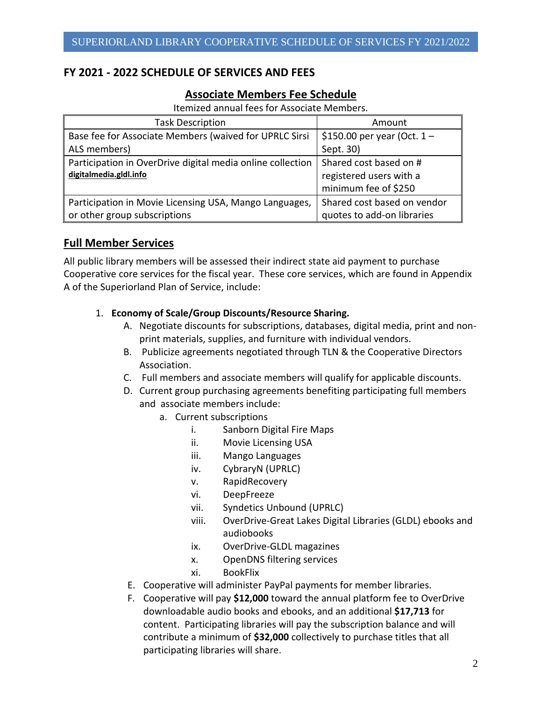# **FY 2021 - 2022 SCHEDULE OF SERVICES AND FEES**

### **Associate Members Fee Schedule**

Itemized annual fees for Associate Members.

| <b>Task Description</b>                                    | Amount                        |
|------------------------------------------------------------|-------------------------------|
| Base fee for Associate Members (waived for UPRLC Sirsi     | \$150.00 per year (Oct. $1 -$ |
| ALS members)                                               | Sept. 30)                     |
| Participation in OverDrive digital media online collection | Shared cost based on #        |
| digitalmedia.gldl.info                                     | registered users with a       |
|                                                            | minimum fee of \$250          |
| Participation in Movie Licensing USA, Mango Languages,     | Shared cost based on vendor   |
| or other group subscriptions                               | quotes to add-on libraries    |

## **Full Member Services**

All public library members will be assessed their indirect state aid payment to purchase Cooperative core services for the fiscal year. These core services, which are found in Appendix A of the Superiorland Plan of Service, include:

### 1. **Economy of Scale/Group Discounts/Resource Sharing.**

- A. Negotiate discounts for subscriptions, databases, digital media, print and nonprint materials, supplies, and furniture with individual vendors.
- B. Publicize agreements negotiated through TLN & the Cooperative Directors Association.
- C. Full members and associate members will qualify for applicable discounts.
- D. Current group purchasing agreements benefiting participating full members and associate members include:
	- a. Current subscriptions
		- i. Sanborn Digital Fire Maps
		- ii. Movie Licensing USA
		- iii. Mango Languages
		- iv. CybraryN (UPRLC)
		- v. RapidRecovery
		- vi. DeepFreeze
		- vii. Syndetics Unbound (UPRLC)
		- viii. OverDrive-Great Lakes Digital Libraries (GLDL) ebooks and audiobooks
		- ix. OverDrive-GLDL magazines
		- x. OpenDNS filtering services
		- xi. BookFlix
- E. Cooperative will administer PayPal payments for member libraries.
- F. Cooperative will pay **\$12,000** toward the annual platform fee to OverDrive downloadable audio books and ebooks, and an additional **\$17,713** for content. Participating libraries will pay the subscription balance and will contribute a minimum of **\$32,000** collectively to purchase titles that all participating libraries will share.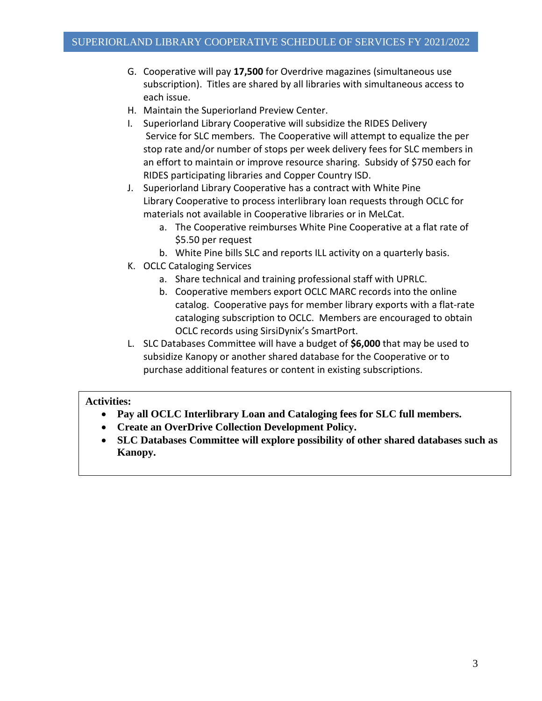- G. Cooperative will pay **17,500** for Overdrive magazines (simultaneous use subscription). Titles are shared by all libraries with simultaneous access to each issue.
- H. Maintain the Superiorland Preview Center.
- I. Superiorland Library Cooperative will subsidize the RIDES Delivery Service for SLC members. The Cooperative will attempt to equalize the per stop rate and/or number of stops per week delivery fees for SLC members in an effort to maintain or improve resource sharing. Subsidy of \$750 each for RIDES participating libraries and Copper Country ISD.
- J. Superiorland Library Cooperative has a contract with White Pine Library Cooperative to process interlibrary loan requests through OCLC for materials not available in Cooperative libraries or in MeLCat.
	- a. The Cooperative reimburses White Pine Cooperative at a flat rate of \$5.50 per request
	- b. White Pine bills SLC and reports ILL activity on a quarterly basis.
- K. OCLC Cataloging Services
	- a. Share technical and training professional staff with UPRLC.
	- b. Cooperative members export OCLC MARC records into the online catalog. Cooperative pays for member library exports with a flat-rate cataloging subscription to OCLC. Members are encouraged to obtain OCLC records using SirsiDynix's SmartPort.
- L. SLC Databases Committee will have a budget of **\$6,000** that may be used to subsidize Kanopy or another shared database for the Cooperative or to purchase additional features or content in existing subscriptions.

#### **Activities:**

- **Pay all OCLC Interlibrary Loan and Cataloging fees for SLC full members.**
- **Create an OverDrive Collection Development Policy.**
- **SLC Databases Committee will explore possibility of other shared databases such as Kanopy.**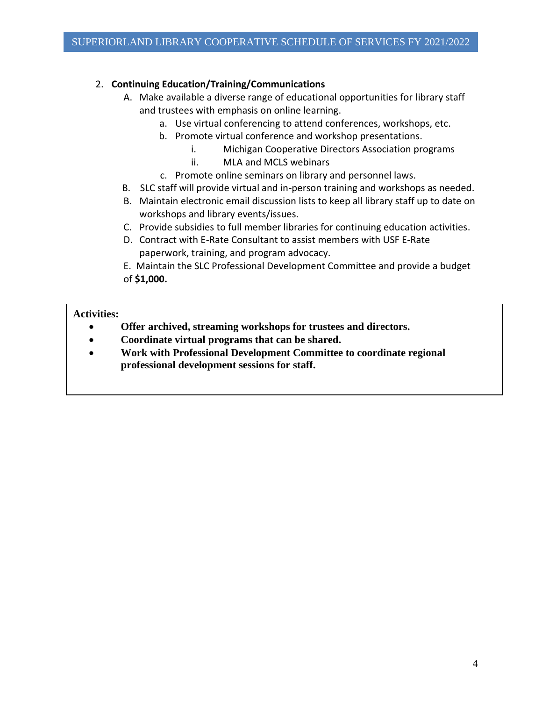### 2. **Continuing Education/Training/Communications**

- A. Make available a diverse range of educational opportunities for library staff and trustees with emphasis on online learning.
	- a. Use virtual conferencing to attend conferences, workshops, etc.
	- b. Promote virtual conference and workshop presentations.
		- i. Michigan Cooperative Directors Association programs
		- ii. MLA and MCLS webinars
	- c. Promote online seminars on library and personnel laws.
- B. SLC staff will provide virtual and in-person training and workshops as needed.
- B. Maintain electronic email discussion lists to keep all library staff up to date on workshops and library events/issues.
- C. Provide subsidies to full member libraries for continuing education activities.
- D. Contract with E-Rate Consultant to assist members with USF E-Rate paperwork, training, and program advocacy.
- E. Maintain the SLC Professional Development Committee and provide a budget of **\$1,000.**

#### **Activities:**

- **Offer archived, streaming workshops for trustees and directors.**
- **Coordinate virtual programs that can be shared.**
- **Work with Professional Development Committee to coordinate regional professional development sessions for staff.**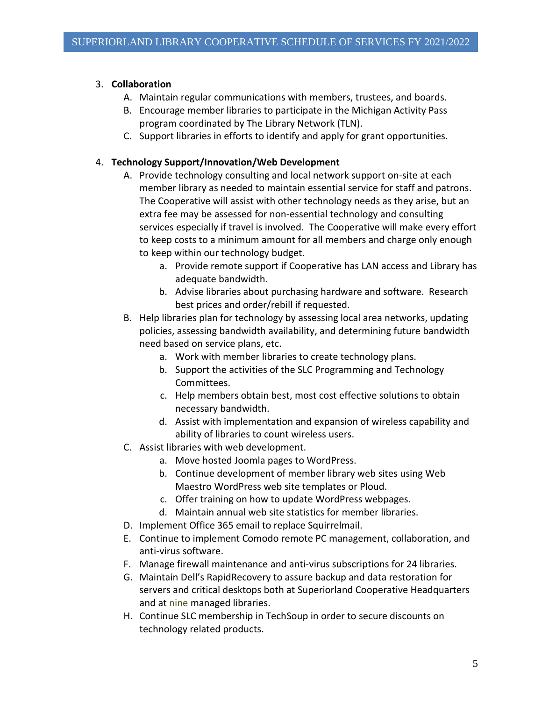### 3. **Collaboration**

- A. Maintain regular communications with members, trustees, and boards.
- B. Encourage member libraries to participate in the Michigan Activity Pass program coordinated by The Library Network (TLN).
- C. Support libraries in efforts to identify and apply for grant opportunities.

### 4. **Technology Support/Innovation/Web Development**

- A. Provide technology consulting and local network support on-site at each member library as needed to maintain essential service for staff and patrons. The Cooperative will assist with other technology needs as they arise, but an extra fee may be assessed for non-essential technology and consulting services especially if travel is involved. The Cooperative will make every effort to keep costs to a minimum amount for all members and charge only enough to keep within our technology budget.
	- a. Provide remote support if Cooperative has LAN access and Library has adequate bandwidth.
	- b. Advise libraries about purchasing hardware and software. Research best prices and order/rebill if requested.
- B. Help libraries plan for technology by assessing local area networks, updating policies, assessing bandwidth availability, and determining future bandwidth need based on service plans, etc.
	- a. Work with member libraries to create technology plans.
	- b. Support the activities of the SLC Programming and Technology Committees.
	- c. Help members obtain best, most cost effective solutions to obtain necessary bandwidth.
	- d. Assist with implementation and expansion of wireless capability and ability of libraries to count wireless users.
- C. Assist libraries with web development.
	- a. Move hosted Joomla pages to WordPress.
	- b. Continue development of member library web sites using Web Maestro WordPress web site templates or Ploud.
	- c. Offer training on how to update WordPress webpages.
	- d. Maintain annual web site statistics for member libraries.
- D. Implement Office 365 email to replace Squirrelmail.
- E. Continue to implement Comodo remote PC management, collaboration, and anti-virus software.
- F. Manage firewall maintenance and anti-virus subscriptions for 24 libraries.
- G. Maintain Dell's RapidRecovery to assure backup and data restoration for servers and critical desktops both at Superiorland Cooperative Headquarters and at nine managed libraries.
- H. Continue SLC membership in TechSoup in order to secure discounts on technology related products.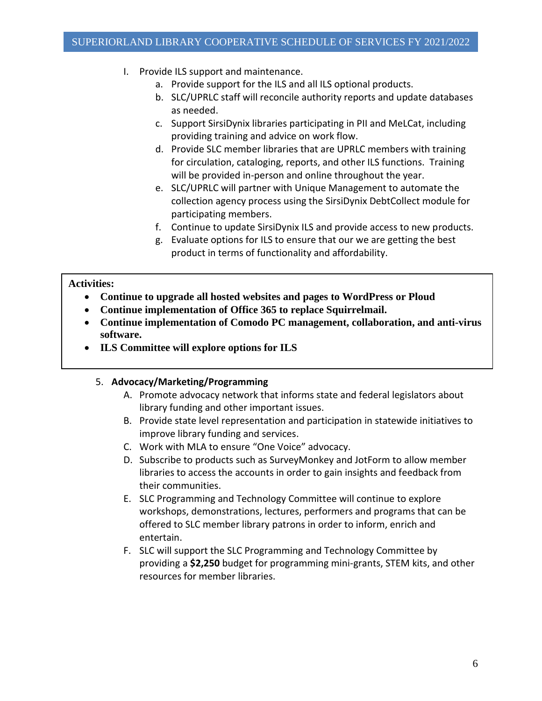- I. Provide ILS support and maintenance.
	- a. Provide support for the ILS and all ILS optional products.
	- b. SLC/UPRLC staff will reconcile authority reports and update databases as needed.
	- c. Support SirsiDynix libraries participating in PII and MeLCat, including providing training and advice on work flow.
	- d. Provide SLC member libraries that are UPRLC members with training for circulation, cataloging, reports, and other ILS functions. Training will be provided in-person and online throughout the year.
	- e. SLC/UPRLC will partner with Unique Management to automate the collection agency process using the SirsiDynix DebtCollect module for participating members.
	- f. Continue to update SirsiDynix ILS and provide access to new products.
	- g. Evaluate options for ILS to ensure that our we are getting the best product in terms of functionality and affordability.

#### **Activities:**

- **Continue to upgrade all hosted websites and pages to WordPress or Ploud**
- **Continue implementation of Office 365 to replace Squirrelmail.**
- **Continue implementation of Comodo PC management, collaboration, and anti-virus software.**
- **ILS Committee will explore options for ILS**

#### 5. **Advocacy/Marketing/Programming**

- A. Promote advocacy network that informs state and federal legislators about library funding and other important issues.
- B. Provide state level representation and participation in statewide initiatives to improve library funding and services.
- C. Work with MLA to ensure "One Voice" advocacy.
- D. Subscribe to products such as SurveyMonkey and JotForm to allow member libraries to access the accounts in order to gain insights and feedback from their communities.
- E. SLC Programming and Technology Committee will continue to explore workshops, demonstrations, lectures, performers and programs that can be offered to SLC member library patrons in order to inform, enrich and entertain.
- F. SLC will support the SLC Programming and Technology Committee by providing a **\$2,250** budget for programming mini-grants, STEM kits, and other resources for member libraries.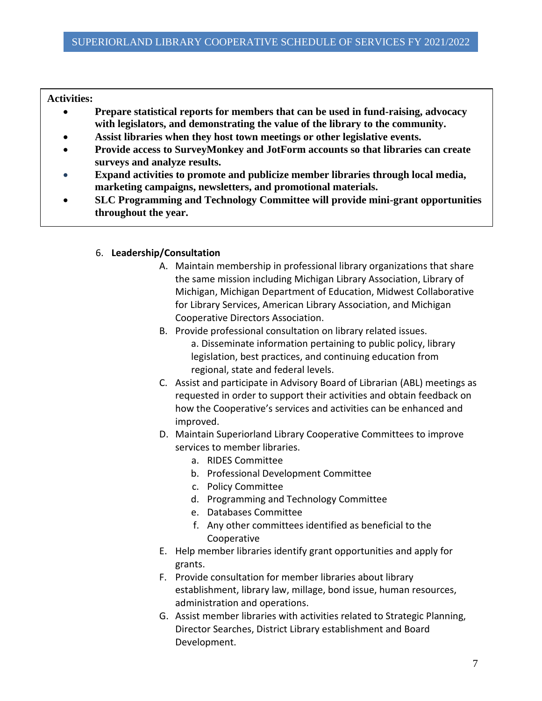### **Activities:**

- **Prepare statistical reports for members that can be used in fund-raising, advocacy with legislators, and demonstrating the value of the library to the community.**
- **Assist libraries when they host town meetings or other legislative events.**
- **Provide access to SurveyMonkey and JotForm accounts so that libraries can create surveys and analyze results.**
- **Expand activities to promote and publicize member libraries through local media, marketing campaigns, newsletters, and promotional materials.**
- **SLC Programming and Technology Committee will provide mini-grant opportunities throughout the year.**

# 6. **Leadership/Consultation** • **6.**

- A. Maintain membership in professional library organizations that share the same mission including Michigan Library Association, Library of Michigan, Michigan Department of Education, Midwest Collaborative for Library Services, American Library Association, and Michigan Cooperative Directors Association.
- B. Provide professional consultation on library related issues.
	- a. Disseminate information pertaining to public policy, library legislation, best practices, and continuing education from regional, state and federal levels.
- C. Assist and participate in Advisory Board of Librarian (ABL) meetings as requested in order to support their activities and obtain feedback on how the Cooperative's services and activities can be enhanced and improved.
- D. Maintain Superiorland Library Cooperative Committees to improve services to member libraries.
	- a. RIDES Committee
	- b. Professional Development Committee
	- c. Policy Committee
	- d. Programming and Technology Committee
	- e. Databases Committee
	- f. Any other committees identified as beneficial to the Cooperative
- E. Help member libraries identify grant opportunities and apply for grants.
- F. Provide consultation for member libraries about library establishment, library law, millage, bond issue, human resources, administration and operations.
- G. Assist member libraries with activities related to Strategic Planning, Director Searches, District Library establishment and Board Development.